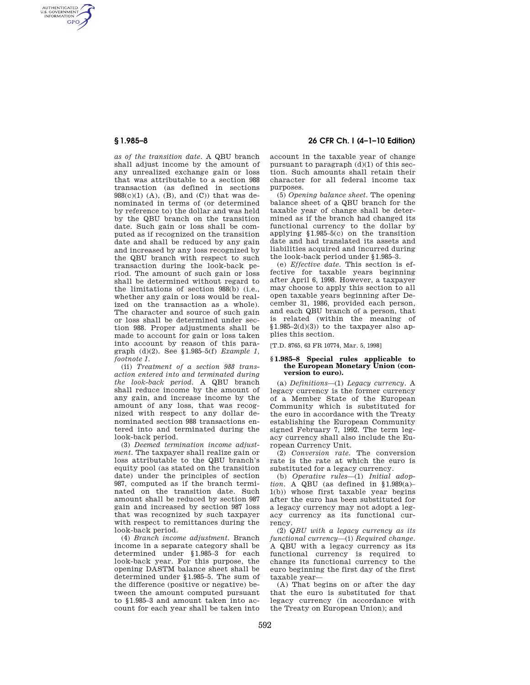AUTHENTICATED<br>U.S. GOVERNMENT<br>INFORMATION **GPO** 

> *as of the transition date.* A QBU branch shall adjust income by the amount of any unrealized exchange gain or loss that was attributable to a section 988 transaction (as defined in sections  $988(c)(1)$  (A), (B), and (C)) that was denominated in terms of (or determined by reference to) the dollar and was held by the QBU branch on the transition date. Such gain or loss shall be computed as if recognized on the transition date and shall be reduced by any gain and increased by any loss recognized by the QBU branch with respect to such transaction during the look-back period. The amount of such gain or loss shall be determined without regard to the limitations of section 988(b) (i.e., whether any gain or loss would be realized on the transaction as a whole). The character and source of such gain or loss shall be determined under section 988. Proper adjustments shall be made to account for gain or loss taken into account by reason of this paragraph (d)(2). See §1.985–5(f) *Example 1, footnote 1.*

> (ii) *Treatment of a section 988 transaction entered into and terminated during the look-back period.* A QBU branch shall reduce income by the amount of any gain, and increase income by the amount of any loss, that was recognized with respect to any dollar denominated section 988 transactions entered into and terminated during the look-back period.

> (3) *Deemed termination income adjustment.* The taxpayer shall realize gain or loss attributable to the QBU branch's equity pool (as stated on the transition date) under the principles of section 987, computed as if the branch terminated on the transition date. Such amount shall be reduced by section 987 gain and increased by section 987 loss that was recognized by such taxpayer with respect to remittances during the look-back period.

> (4) *Branch income adjustment.* Branch income in a separate category shall be determined under §1.985–3 for each look-back year. For this purpose, the opening DASTM balance sheet shall be determined under §1.985–5. The sum of the difference (positive or negative) between the amount computed pursuant to §1.985–3 and amount taken into account for each year shall be taken into

# **§ 1.985–8 26 CFR Ch. I (4–1–10 Edition)**

account in the taxable year of change pursuant to paragraph  $(d)(1)$  of this section. Such amounts shall retain their character for all federal income tax purposes.

(5) *Opening balance sheet.* The opening balance sheet of a QBU branch for the taxable year of change shall be determined as if the branch had changed its functional currency to the dollar by applying §1.985–5(c) on the transition date and had translated its assets and liabilities acquired and incurred during the look-back period under §1.985–3.

(e) *Effective date.* This section is effective for taxable years beginning after April 6, 1998. However, a taxpayer may choose to apply this section to all open taxable years beginning after December 31, 1986, provided each person, and each QBU branch of a person, that is related (within the meaning of  $$1.985-2(d)(3)$  to the taxpayer also applies this section.

[T.D. 8765, 63 FR 10774, Mar. 5, 1998]

#### **§ 1.985–8 Special rules applicable to the European Monetary Union (conversion to euro).**

(a) *Definitions*—(1) *Legacy currency.* A legacy currency is the former currency of a Member State of the European Community which is substituted for the euro in accordance with the Treaty establishing the European Community signed February 7, 1992. The term legacy currency shall also include the European Currency Unit.

(2) *Conversion rate.* The conversion rate is the rate at which the euro is substituted for a legacy currency.

(b) *Operative rules*—(1) *Initial adop* $tion. A QBU$  (as defined in §1.989(a)-1(b)) whose first taxable year begins after the euro has been substituted for a legacy currency may not adopt a legacy currency as its functional currency.

(2) *QBU with a legacy currency as its functional currency*—(i) *Required change.*  A QBU with a legacy currency as its functional currency is required to change its functional currency to the euro beginning the first day of the first taxable year—

(A) That begins on or after the day that the euro is substituted for that legacy currency (in accordance with the Treaty on European Union); and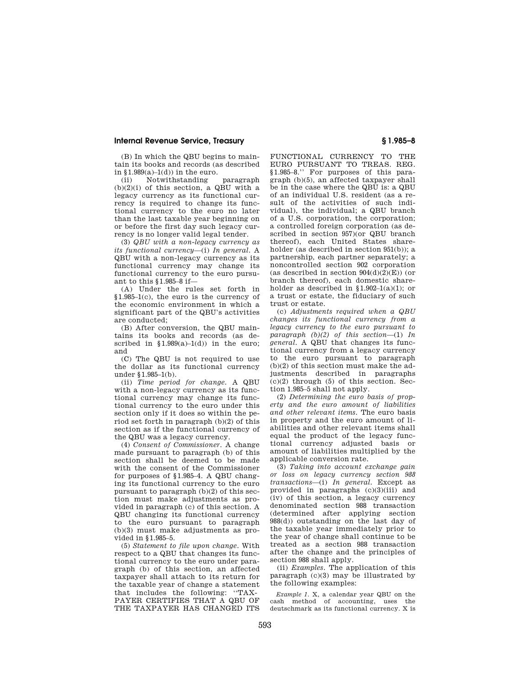### **Internal Revenue Service, Treasury § 1.985–8**

(B) In which the QBU begins to maintain its books and records (as described in  $$1.989(a)-1(d)$  in the euro.

(ii) Notwithstanding paragraph  $(b)(2)(i)$  of this section, a QBU with a legacy currency as its functional currency is required to change its functional currency to the euro no later than the last taxable year beginning on or before the first day such legacy currency is no longer valid legal tender.

(3) *QBU with a non-legacy currency as its functional currency*—(i) *In general.* A QBU with a non-legacy currency as its functional currency may change its functional currency to the euro pursuant to this §1.985–8 if—

(A) Under the rules set forth in §1.985–1(c), the euro is the currency of the economic environment in which a significant part of the QBU's activities are conducted;

(B) After conversion, the QBU maintains its books and records (as described in  $$1.989(a)-1(d)$  in the euro; and

(C) The QBU is not required to use the dollar as its functional currency under §1.985–1(b).

(ii) *Time period for change.* A QBU with a non-legacy currency as its functional currency may change its functional currency to the euro under this section only if it does so within the period set forth in paragraph (b)(2) of this section as if the functional currency of the QBU was a legacy currency.

(4) *Consent of Commissioner.* A change made pursuant to paragraph (b) of this section shall be deemed to be made with the consent of the Commissioner for purposes of §1.985–4. A QBU changing its functional currency to the euro pursuant to paragraph (b)(2) of this section must make adjustments as provided in paragraph (c) of this section. A QBU changing its functional currency to the euro pursuant to paragraph (b)(3) must make adjustments as provided in §1.985–5.

(5) *Statement to file upon change.* With respect to a QBU that changes its functional currency to the euro under paragraph (b) of this section, an affected taxpayer shall attach to its return for the taxable year of change a statement that includes the following: ''TAX-PAYER CERTIFIES THAT A QBU OF THE TAXPAYER HAS CHANGED ITS

FUNCTIONAL CURRENCY TO THE EURO PURSUANT TO TREAS. REG. §1.985–8.'' For purposes of this paragraph (b)(5), an affected taxpayer shall be in the case where the QBU is: a QBU of an individual U.S. resident (as a result of the activities of such individual), the individual; a QBU branch of a U.S. corporation, the corporation; a controlled foreign corporation (as described in section 957)(or QBU branch thereof), each United States shareholder (as described in section 951(b)); a partnership, each partner separately; a noncontrolled section 902 corporation (as described in section  $904(d)(2)(E)$ ) (or branch thereof), each domestic shareholder as described in  $$1.902-1(a)(1)$ ; or a trust or estate, the fiduciary of such trust or estate.

(c) *Adjustments required when a QBU changes its functional currency from a legacy currency to the euro pursuant to paragraph (b)(2) of this section*—(1) *In general.* A QBU that changes its functional currency from a legacy currency to the euro pursuant to paragraph (b)(2) of this section must make the adjustments described in paragraphs  $(c)(2)$  through  $(5)$  of this section. Section 1.985–5 shall not apply.

(2) *Determining the euro basis of property and the euro amount of liabilities and other relevant items.* The euro basis in property and the euro amount of liabilities and other relevant items shall equal the product of the legacy functional currency adjusted basis or amount of liabilities multiplied by the applicable conversion rate.

(3) *Taking into account exchange gain or loss on legacy currency section 988 transactions*—(i) *In general.* Except as provided in paragraphs (c)(3)(iii) and (iv) of this section, a legacy currency denominated section 988 transaction (determined after applying section 988(d)) outstanding on the last day of the taxable year immediately prior to the year of change shall continue to be treated as a section 988 transaction after the change and the principles of section 988 shall apply.

(ii) *Examples.* The application of this paragraph (c)(3) may be illustrated by the following examples:

*Example 1.* X, a calendar year QBU on the cash method of accounting, uses the deutschmark as its functional currency. X is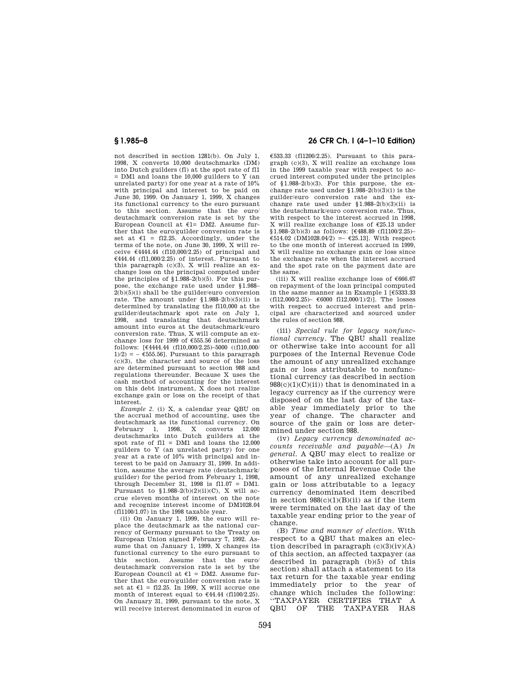not described in section 1281(b). On July 1, 1998, X converts 10,000 deutschmarks (DM) into Dutch guilders (fl) at the spot rate of fl1 = DM1 and loans the 10,000 guilders to Y (an unrelated party) for one year at a rate of 10% with principal and interest to be paid on June 30, 1999. On January 1, 1999, X changes its functional currency to the euro pursuant to this section. Assume that the euro/ deutschmark conversion rate is set by the European Council at  $E1 = DM2$ . Assume further that the euro/guilder conversion rate is set at  $\epsilon$ 1 = fl2.25. Accordingly, under the terms of the note, on June 30, 1999, X will receive  $\epsilon$ 4444.44 (fl10,000/2.25) of principal and  $€444.44$  (fl1,000/2.25) of interest. Pursuant to this paragraph (c)(3), X will realize an exchange loss on the principal computed under the principles of  $\S1.988-2(b)(5)$ . For this purpose, the exchange rate used under §1.988–  $2(b)(5)(i)$  shall be the guilder/euro conversion rate. The amount under  $$1.988-2(b)(5)(ii)$  is determined by translating the fl10,000 at the guilder/deutschmark spot rate on July 1, 1998, and translating that deutschmark amount into euros at the deutschmark/euro conversion rate. Thus, X will compute an exchange loss for 1999 of  $\epsilon$ 555.56 determined as follows: [Ö4444.44 (fl10,000/2.25)–5000 ((fl10,000/  $1/2$ ) = -  $\epsilon$ 555.56]. Pursuant to this paragraph  $(c)(3)$ , the character and source of the loss are determined pursuant to section 988 and regulations thereunder. Because X uses the cash method of accounting for the interest on this debt instrument, X does not realize exchange gain or loss on the receipt of that interest.

*Example 2.* (i) X, a calendar year QBU on the accrual method of accounting, uses the deutschmark as its functional currency. On<br>February 1, 1998, X converts 12,000 1, 1998, X converts deutschmarks into Dutch guilders at the spot rate of  $f11 = DM1$  and loans the 12,000 guilders to Y (an unrelated party) for one year at a rate of 10% with principal and interest to be paid on January 31, 1999. In addition, assume the average rate (deutschmark/ guilder) for the period from February 1, 1998, through December 31, 1998 is fl1.07 = DM1. Pursuant to  $$1.988-2(b)(2)(ii)(C)$ , X will accrue eleven months of interest on the note and recognize interest income of DM1028.04 (fl1100/1.07) in the 1998 taxable year.

(ii) On January 1, 1999, the euro will replace the deutschmark as the national currency of Germany pursuant to the Treaty on European Union signed February 7, 1992. Assume that on January 1, 1999, X changes its functional currency to the euro pursuant to this section. Assume that the euro/ deutschmark conversion rate is set by the European Council at  $f1 = DM2$ . Assume further that the euro/guilder conversion rate is set at  $\epsilon$ 1 = fl2.25. In 1999, X will accrue one month of interest equal to  $€44.44$  (fl100/2.25). On January 31, 1999, pursuant to the note, X will receive interest denominated in euros of

## **§ 1.985–8 26 CFR Ch. I (4–1–10 Edition)**

 $£533.33$  (fl1200/2.25). Pursuant to this paragraph (c)(3), X will realize an exchange loss in the 1999 taxable year with respect to accrued interest computed under the principles of  $$1.988-2(b)(3)$ . For this purpose, the exchange rate used under  $$1.988-2(b)(3)(i)$  is the guilder/euro conversion rate and the ex-change rate used under §1.988–2(b)(3)(ii) is the deutschmark/euro conversion rate. Thus, with respect to the interest accrued in 1998, X will realize exchange loss of  $£25.13$  under  $$1.988-2(b)(3)$  as follows: [ $$488.89$  (fl1100/2.25)–  $€514.02$  (DM1028.04/2) =  $€25.13$ ]. With respect to the one month of interest accrued in 1999, X will realize no exchange gain or loss since the exchange rate when the interest accrued and the spot rate on the payment date are the same.

(iii) X will realize exchange loss of  $€666.67$ on repayment of the loan principal computed in the same manner as in Example 1  $E$ 5333.33  $(f112,000/2.25)$ –  $6000$   $f112,000/1)/2$ ). The losses with respect to accrued interest and principal are characterized and sourced under the rules of section 988.

(iii) *Special rule for legacy nonfunctional currency.* The QBU shall realize or otherwise take into account for all purposes of the Internal Revenue Code the amount of any unrealized exchange gain or loss attributable to nonfunctional currency (as described in section  $988(c)(1)(C)(ii))$  that is denominated in a legacy currency as if the currency were disposed of on the last day of the taxable year immediately prior to the year of change. The character and source of the gain or loss are determined under section 988.

(iv) *Legacy currency denominated accounts receivable and payable*—(A) *In general.* A QBU may elect to realize or otherwise take into account for all purposes of the Internal Revenue Code the amount of any unrealized exchange gain or loss attributable to a legacy currency denominated item described in section  $988(c)(1)(B)(ii)$  as if the item were terminated on the last day of the taxable year ending prior to the year of change.

(B) *Time and manner of election.* With respect to a QBU that makes an election described in paragraph  $(c)(3)(iv)(A)$ of this section, an affected taxpayer (as described in paragraph (b)(5) of this section) shall attach a statement to its tax return for the taxable year ending immediately prior to the year of change which includes the following: ''TAXPAYER CERTIFIES THAT A QBU OF THE TAXPAYER HAS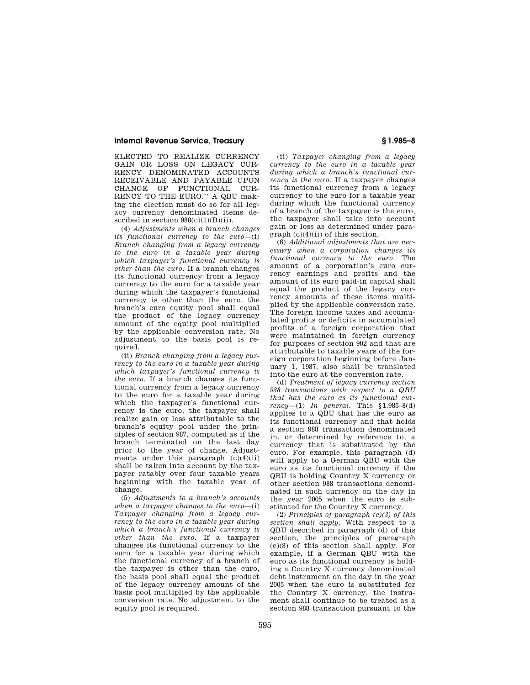### **Internal Revenue Service, Treasury § 1.985–8**

ELECTED TO REALIZE CURRENCY GAIN OR LOSS ON LEGACY CUR-RENCY DENOMINATED ACCOUNTS RECEIVABLE AND PAYABLE UPON CHANGE OF FUNCTIONAL CUR-RENCY TO THE EURO.'' A QBU making the election must do so for all legacy currency denominated items described in section  $988(c)(1)(B)(ii)$ .

(4) *Adjustments when a branch changes its functional currency to the euro*—(i) *Branch changing from a legacy currency to the euro in a taxable year during which taxpayer's functional currency is other than the euro.* If a branch changes its functional currency from a legacy currency to the euro for a taxable year during which the taxpayer's functional currency is other than the euro, the branch's euro equity pool shall equal the product of the legacy currency amount of the equity pool multiplied by the applicable conversion rate. No adjustment to the basis pool is required.

(ii) *Branch changing from a legacy currency to the euro in a taxable year during which taxpayer's functional currency is the euro.* If a branch changes its functional currency from a legacy currency to the euro for a taxable year during which the taxpayer's functional currency is the euro, the taxpayer shall realize gain or loss attributable to the branch's equity pool under the principles of section 987, computed as if the branch terminated on the last day prior to the year of change. Adjustments under this paragraph  $(c)(4)(ii)$ shall be taken into account by the taxpayer ratably over four taxable years beginning with the taxable year of change.

(5) *Adjustments to a branch's accounts when a taxpayer changes to the euro*—(i) *Taxpayer changing from a legacy currency to the euro in a taxable year during which a branch's functional currency is other than the euro.* If a taxpayer changes its functional currency to the euro for a taxable year during which the functional currency of a branch of the taxpayer is other than the euro, the basis pool shall equal the product of the legacy currency amount of the basis pool multiplied by the applicable conversion rate. No adjustment to the equity pool is required.

(ii) *Taxpayer changing from a legacy currency to the euro in a taxable year during which a branch's functional currency is the euro.* If a taxpayer changes its functional currency from a legacy currency to the euro for a taxable year during which the functional currency of a branch of the taxpayer is the euro, the taxpayer shall take into account gain or loss as determined under paragraph (c)(4)(ii) of this section.

(6) *Additional adjustments that are necessary when a corporation changes its functional currency to the euro.* The amount of a corporation's euro currency earnings and profits and the amount of its euro paid-in capital shall equal the product of the legacy currency amounts of these items multiplied by the applicable conversion rate. The foreign income taxes and accumulated profits or deficits in accumulated profits of a foreign corporation that were maintained in foreign currency for purposes of section 902 and that are attributable to taxable years of the foreign corporation beginning before January 1, 1987, also shall be translated into the euro at the conversion rate.

(d) *Treatment of legacy currency section 988 transactions with respect to a QBU that has the euro as its functional currency*—(1) *In general.* This §1.985–8(d) applies to a QBU that has the euro as its functional currency and that holds a section 988 transaction denominated in, or determined by reference to, a currency that is substituted by the euro. For example, this paragraph (d) will apply to a German QBU with the euro as its functional currency if the QBU is holding Country X currency or other section 988 transactions denominated in such currency on the day in the year 2005 when the euro is substituted for the Country X currency.

(2) *Principles of paragraph (c)(3) of this section shall apply.* With respect to a QBU described in paragraph (d) of this section, the principles of paragraph (c)(3) of this section shall apply. For example, if a German QBU with the euro as its functional currency is holding a Country X currency denominated debt instrument on the day in the year 2005 when the euro is substituted for the Country X currency, the instrument shall continue to be treated as a section 988 transaction pursuant to the